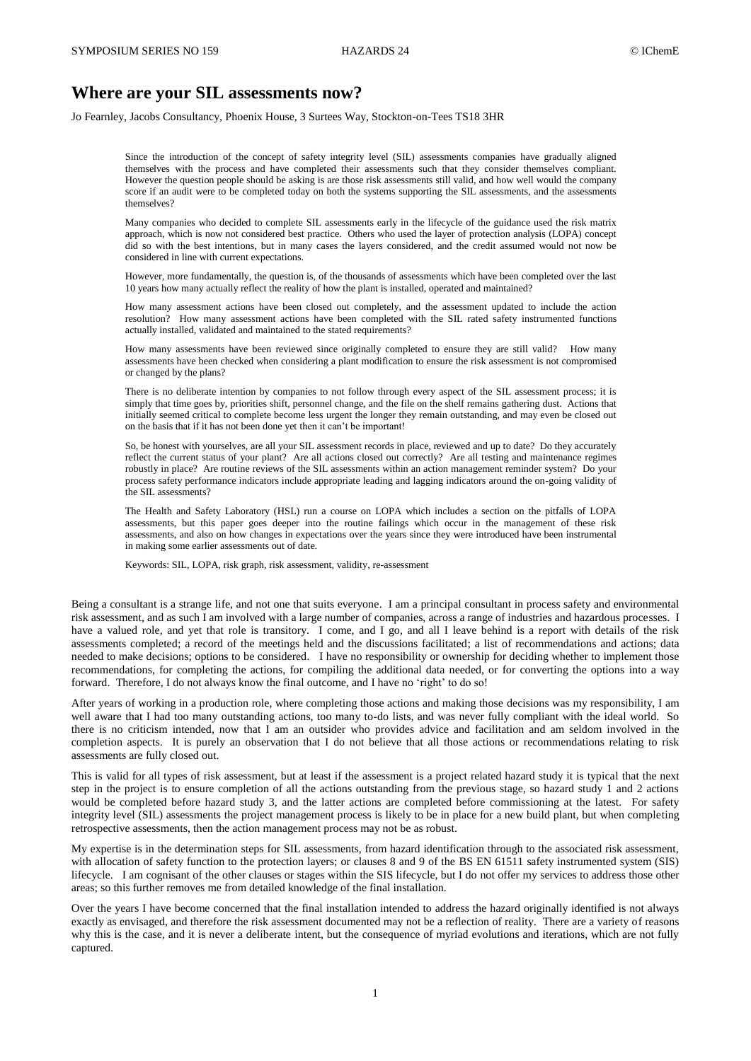# **Where are your SIL assessments now?**

Jo Fearnley, Jacobs Consultancy, Phoenix House, 3 Surtees Way, Stockton-on-Tees TS18 3HR

Since the introduction of the concept of safety integrity level (SIL) assessments companies have gradually aligned themselves with the process and have completed their assessments such that they consider themselves compliant. However the question people should be asking is are those risk assessments still valid, and how well would the company score if an audit were to be completed today on both the systems supporting the SIL assessments, and the assessments themselves?

Many companies who decided to complete SIL assessments early in the lifecycle of the guidance used the risk matrix approach, which is now not considered best practice. Others who used the layer of protection analysis (LOPA) concept did so with the best intentions, but in many cases the layers considered, and the credit assumed would not now be considered in line with current expectations.

However, more fundamentally, the question is, of the thousands of assessments which have been completed over the last 10 years how many actually reflect the reality of how the plant is installed, operated and maintained?

How many assessment actions have been closed out completely, and the assessment updated to include the action resolution? How many assessment actions have been completed with the SIL rated safety instrumented functions actually installed, validated and maintained to the stated requirements?

How many assessments have been reviewed since originally completed to ensure they are still valid? How many assessments have been checked when considering a plant modification to ensure the risk assessment is not compromised or changed by the plans?

There is no deliberate intention by companies to not follow through every aspect of the SIL assessment process; it is simply that time goes by, priorities shift, personnel change, and the file on the shelf remains gathering dust. Actions that initially seemed critical to complete become less urgent the longer they remain outstanding, and may even be closed out on the basis that if it has not been done yet then it can't be important!

So, be honest with yourselves, are all your SIL assessment records in place, reviewed and up to date? Do they accurately reflect the current status of your plant? Are all actions closed out correctly? Are all testing and maintenance regimes robustly in place? Are routine reviews of the SIL assessments within an action management reminder system? Do your process safety performance indicators include appropriate leading and lagging indicators around the on-going validity of the SIL assessments?

The Health and Safety Laboratory (HSL) run a course on LOPA which includes a section on the pitfalls of LOPA assessments, but this paper goes deeper into the routine failings which occur in the management of these risk assessments, and also on how changes in expectations over the years since they were introduced have been instrumental in making some earlier assessments out of date.

Keywords: SIL, LOPA, risk graph, risk assessment, validity, re-assessment

Being a consultant is a strange life, and not one that suits everyone. I am a principal consultant in process safety and environmental risk assessment, and as such I am involved with a large number of companies, across a range of industries and hazardous processes. I have a valued role, and yet that role is transitory. I come, and I go, and all I leave behind is a report with details of the risk assessments completed; a record of the meetings held and the discussions facilitated; a list of recommendations and actions; data needed to make decisions; options to be considered. I have no responsibility or ownership for deciding whether to implement those recommendations, for completing the actions, for compiling the additional data needed, or for converting the options into a way forward. Therefore, I do not always know the final outcome, and I have no 'right' to do so!

After years of working in a production role, where completing those actions and making those decisions was my responsibility, I am well aware that I had too many outstanding actions, too many to-do lists, and was never fully compliant with the ideal world. So there is no criticism intended, now that I am an outsider who provides advice and facilitation and am seldom involved in the completion aspects. It is purely an observation that I do not believe that all those actions or recommendations relating to risk assessments are fully closed out.

This is valid for all types of risk assessment, but at least if the assessment is a project related hazard study it is typical that the next step in the project is to ensure completion of all the actions outstanding from the previous stage, so hazard study 1 and 2 actions would be completed before hazard study 3, and the latter actions are completed before commissioning at the latest. For safety integrity level (SIL) assessments the project management process is likely to be in place for a new build plant, but when completing retrospective assessments, then the action management process may not be as robust.

My expertise is in the determination steps for SIL assessments, from hazard identification through to the associated risk assessment, with allocation of safety function to the protection layers; or clauses 8 and 9 of the BS EN 61511 safety instrumented system (SIS) lifecycle. I am cognisant of the other clauses or stages within the SIS lifecycle, but I do not offer my services to address those other areas; so this further removes me from detailed knowledge of the final installation.

Over the years I have become concerned that the final installation intended to address the hazard originally identified is not always exactly as envisaged, and therefore the risk assessment documented may not be a reflection of reality. There are a variety of reasons why this is the case, and it is never a deliberate intent, but the consequence of myriad evolutions and iterations, which are not fully captured.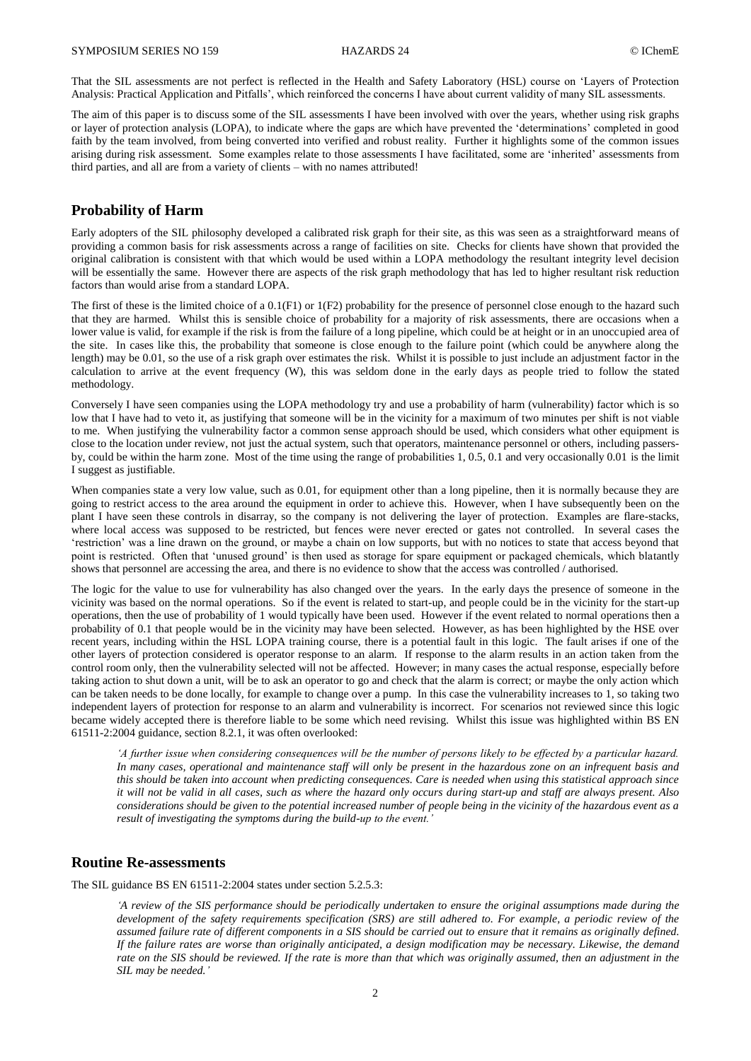That the SIL assessments are not perfect is reflected in the Health and Safety Laboratory (HSL) course on 'Layers of Protection Analysis: Practical Application and Pitfalls', which reinforced the concerns I have about current validity of many SIL assessments.

The aim of this paper is to discuss some of the SIL assessments I have been involved with over the years, whether using risk graphs or layer of protection analysis (LOPA), to indicate where the gaps are which have prevented the 'determinations' completed in good faith by the team involved, from being converted into verified and robust reality. Further it highlights some of the common issues arising during risk assessment. Some examples relate to those assessments I have facilitated, some are 'inherited' assessments from third parties, and all are from a variety of clients – with no names attributed!

## **Probability of Harm**

Early adopters of the SIL philosophy developed a calibrated risk graph for their site, as this was seen as a straightforward means of providing a common basis for risk assessments across a range of facilities on site. Checks for clients have shown that provided the original calibration is consistent with that which would be used within a LOPA methodology the resultant integrity level decision will be essentially the same. However there are aspects of the risk graph methodology that has led to higher resultant risk reduction factors than would arise from a standard LOPA.

The first of these is the limited choice of a 0.1(F1) or 1(F2) probability for the presence of personnel close enough to the hazard such that they are harmed. Whilst this is sensible choice of probability for a majority of risk assessments, there are occasions when a lower value is valid, for example if the risk is from the failure of a long pipeline, which could be at height or in an unoccupied area of the site. In cases like this, the probability that someone is close enough to the failure point (which could be anywhere along the length) may be 0.01, so the use of a risk graph over estimates the risk. Whilst it is possible to just include an adjustment factor in the calculation to arrive at the event frequency (W), this was seldom done in the early days as people tried to follow the stated methodology.

Conversely I have seen companies using the LOPA methodology try and use a probability of harm (vulnerability) factor which is so low that I have had to veto it, as justifying that someone will be in the vicinity for a maximum of two minutes per shift is not viable to me. When justifying the vulnerability factor a common sense approach should be used, which considers what other equipment is close to the location under review, not just the actual system, such that operators, maintenance personnel or others, including passersby, could be within the harm zone. Most of the time using the range of probabilities 1, 0.5, 0.1 and very occasionally 0.01 is the limit I suggest as justifiable.

When companies state a very low value, such as 0.01, for equipment other than a long pipeline, then it is normally because they are going to restrict access to the area around the equipment in order to achieve this. However, when I have subsequently been on the plant I have seen these controls in disarray, so the company is not delivering the layer of protection. Examples are flare-stacks, where local access was supposed to be restricted, but fences were never erected or gates not controlled. In several cases the 'restriction' was a line drawn on the ground, or maybe a chain on low supports, but with no notices to state that access beyond that point is restricted. Often that 'unused ground' is then used as storage for spare equipment or packaged chemicals, which blatantly shows that personnel are accessing the area, and there is no evidence to show that the access was controlled / authorised.

The logic for the value to use for vulnerability has also changed over the years. In the early days the presence of someone in the vicinity was based on the normal operations. So if the event is related to start-up, and people could be in the vicinity for the start-up operations, then the use of probability of 1 would typically have been used. However if the event related to normal operations then a probability of 0.1 that people would be in the vicinity may have been selected. However, as has been highlighted by the HSE over recent years, including within the HSL LOPA training course, there is a potential fault in this logic. The fault arises if one of the other layers of protection considered is operator response to an alarm. If response to the alarm results in an action taken from the control room only, then the vulnerability selected will not be affected. However; in many cases the actual response, especially before taking action to shut down a unit, will be to ask an operator to go and check that the alarm is correct; or maybe the only action which can be taken needs to be done locally, for example to change over a pump. In this case the vulnerability increases to 1, so taking two independent layers of protection for response to an alarm and vulnerability is incorrect. For scenarios not reviewed since this logic became widely accepted there is therefore liable to be some which need revising. Whilst this issue was highlighted within BS EN 61511-2:2004 guidance, section 8.2.1, it was often overlooked:

*'A further issue when considering consequences will be the number of persons likely to be effected by a particular hazard. In many cases, operational and maintenance staff will only be present in the hazardous zone on an infrequent basis and this should be taken into account when predicting consequences. Care is needed when using this statistical approach since it will not be valid in all cases, such as where the hazard only occurs during start-up and staff are always present. Also considerations should be given to the potential increased number of people being in the vicinity of the hazardous event as a result of investigating the symptoms during the build-up to the event.'*

# **Routine Re-assessments**

The SIL guidance BS EN 61511-2:2004 states under section 5.2.5.3:

*'A review of the SIS performance should be periodically undertaken to ensure the original assumptions made during the development of the safety requirements specification (SRS) are still adhered to. For example, a periodic review of the assumed failure rate of different components in a SIS should be carried out to ensure that it remains as originally defined. If the failure rates are worse than originally anticipated, a design modification may be necessary. Likewise, the demand rate on the SIS should be reviewed. If the rate is more than that which was originally assumed, then an adjustment in the SIL may be needed.'*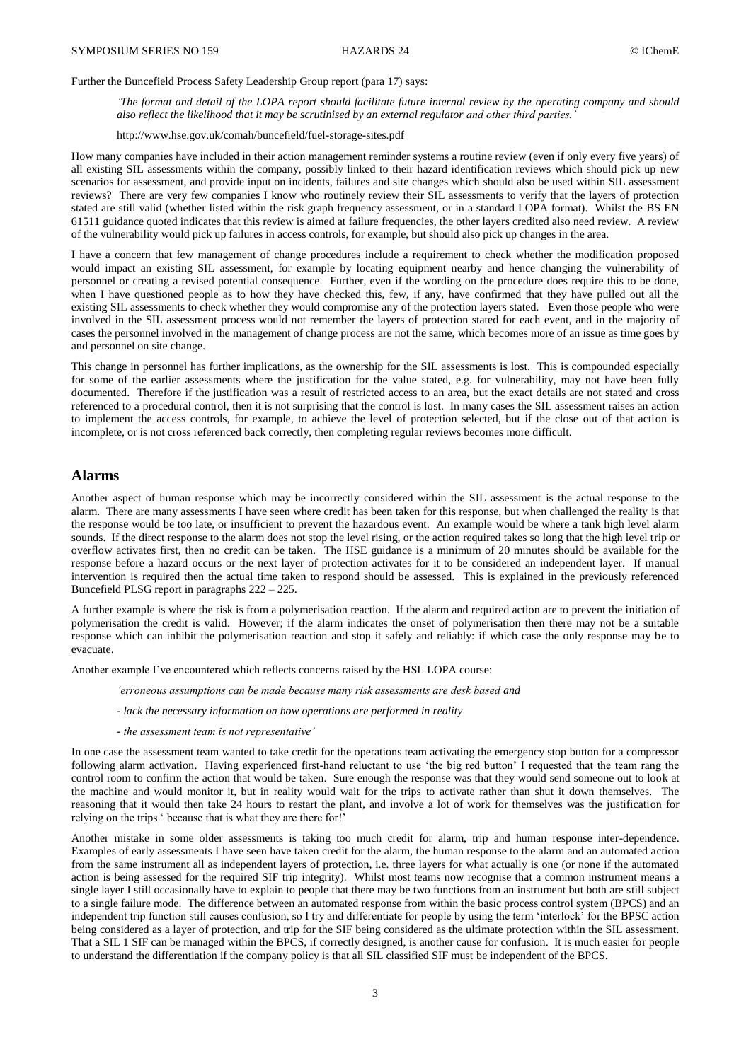Further the Buncefield Process Safety Leadership Group report (para 17) says:

*'The format and detail of the LOPA report should facilitate future internal review by the operating company and should also reflect the likelihood that it may be scrutinised by an external regulator and other third parties.'* 

<http://www.hse.gov.uk/comah/buncefield/fuel-storage-sites.pdf>

How many companies have included in their action management reminder systems a routine review (even if only every five years) of all existing SIL assessments within the company, possibly linked to their hazard identification reviews which should pick up new scenarios for assessment, and provide input on incidents, failures and site changes which should also be used within SIL assessment reviews? There are very few companies I know who routinely review their SIL assessments to verify that the layers of protection stated are still valid (whether listed within the risk graph frequency assessment, or in a standard LOPA format). Whilst the BS EN 61511 guidance quoted indicates that this review is aimed at failure frequencies, the other layers credited also need review. A review of the vulnerability would pick up failures in access controls, for example, but should also pick up changes in the area.

I have a concern that few management of change procedures include a requirement to check whether the modification proposed would impact an existing SIL assessment, for example by locating equipment nearby and hence changing the vulnerability of personnel or creating a revised potential consequence. Further, even if the wording on the procedure does require this to be done, when I have questioned people as to how they have checked this, few, if any, have confirmed that they have pulled out all the existing SIL assessments to check whether they would compromise any of the protection layers stated. Even those people who were involved in the SIL assessment process would not remember the layers of protection stated for each event, and in the majority of cases the personnel involved in the management of change process are not the same, which becomes more of an issue as time goes by and personnel on site change.

This change in personnel has further implications, as the ownership for the SIL assessments is lost. This is compounded especially for some of the earlier assessments where the justification for the value stated, e.g. for vulnerability, may not have been fully documented. Therefore if the justification was a result of restricted access to an area, but the exact details are not stated and cross referenced to a procedural control, then it is not surprising that the control is lost. In many cases the SIL assessment raises an action to implement the access controls, for example, to achieve the level of protection selected, but if the close out of that action is incomplete, or is not cross referenced back correctly, then completing regular reviews becomes more difficult.

### **Alarms**

Another aspect of human response which may be incorrectly considered within the SIL assessment is the actual response to the alarm. There are many assessments I have seen where credit has been taken for this response, but when challenged the reality is that the response would be too late, or insufficient to prevent the hazardous event. An example would be where a tank high level alarm sounds. If the direct response to the alarm does not stop the level rising, or the action required takes so long that the high level trip or overflow activates first, then no credit can be taken. The HSE guidance is a minimum of 20 minutes should be available for the response before a hazard occurs or the next layer of protection activates for it to be considered an independent layer. If manual intervention is required then the actual time taken to respond should be assessed. This is explained in the previously referenced Buncefield PLSG report in paragraphs 222 – 225.

A further example is where the risk is from a polymerisation reaction. If the alarm and required action are to prevent the initiation of polymerisation the credit is valid. However; if the alarm indicates the onset of polymerisation then there may not be a suitable response which can inhibit the polymerisation reaction and stop it safely and reliably: if which case the only response may be to evacuate.

Another example I've encountered which reflects concerns raised by the HSL LOPA course:

*'erroneous assumptions can be made because many risk assessments are desk based and*

- *- lack the necessary information on how operations are performed in reality*
- *- the assessment team is not representative'*

In one case the assessment team wanted to take credit for the operations team activating the emergency stop button for a compressor following alarm activation. Having experienced first-hand reluctant to use 'the big red button' I requested that the team rang the control room to confirm the action that would be taken. Sure enough the response was that they would send someone out to look at the machine and would monitor it, but in reality would wait for the trips to activate rather than shut it down themselves. The reasoning that it would then take 24 hours to restart the plant, and involve a lot of work for themselves was the justification for relying on the trips ' because that is what they are there for!'

Another mistake in some older assessments is taking too much credit for alarm, trip and human response inter-dependence. Examples of early assessments I have seen have taken credit for the alarm, the human response to the alarm and an automated action from the same instrument all as independent layers of protection, i.e. three layers for what actually is one (or none if the automated action is being assessed for the required SIF trip integrity). Whilst most teams now recognise that a common instrument means a single layer I still occasionally have to explain to people that there may be two functions from an instrument but both are still subject to a single failure mode. The difference between an automated response from within the basic process control system (BPCS) and an independent trip function still causes confusion, so I try and differentiate for people by using the term 'interlock' for the BPSC action being considered as a layer of protection, and trip for the SIF being considered as the ultimate protection within the SIL assessment. That a SIL 1 SIF can be managed within the BPCS, if correctly designed, is another cause for confusion. It is much easier for people to understand the differentiation if the company policy is that all SIL classified SIF must be independent of the BPCS.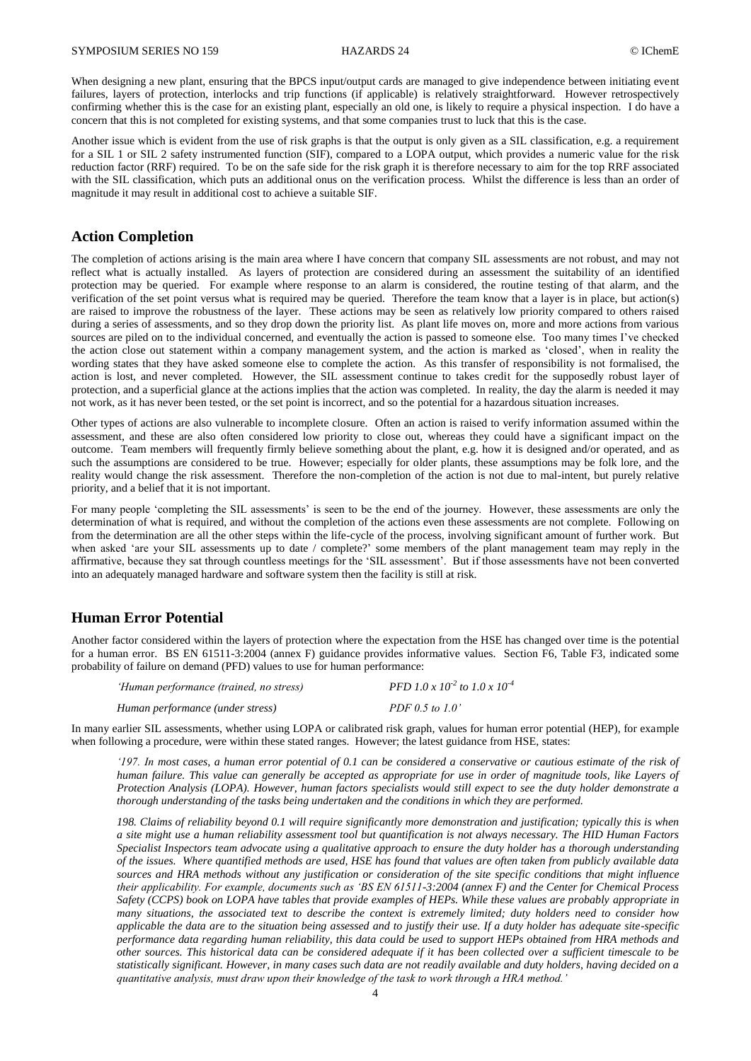When designing a new plant, ensuring that the BPCS input/output cards are managed to give independence between initiating event failures, layers of protection, interlocks and trip functions (if applicable) is relatively straightforward. However retrospectively confirming whether this is the case for an existing plant, especially an old one, is likely to require a physical inspection. I do have a concern that this is not completed for existing systems, and that some companies trust to luck that this is the case.

Another issue which is evident from the use of risk graphs is that the output is only given as a SIL classification, e.g. a requirement for a SIL 1 or SIL 2 safety instrumented function (SIF), compared to a LOPA output, which provides a numeric value for the risk reduction factor (RRF) required. To be on the safe side for the risk graph it is therefore necessary to aim for the top RRF associated with the SIL classification, which puts an additional onus on the verification process. Whilst the difference is less than an order of magnitude it may result in additional cost to achieve a suitable SIF.

### **Action Completion**

The completion of actions arising is the main area where I have concern that company SIL assessments are not robust, and may not reflect what is actually installed. As layers of protection are considered during an assessment the suitability of an identified protection may be queried. For example where response to an alarm is considered, the routine testing of that alarm, and the verification of the set point versus what is required may be queried. Therefore the team know that a layer is in place, but action(s) are raised to improve the robustness of the layer. These actions may be seen as relatively low priority compared to others raised during a series of assessments, and so they drop down the priority list. As plant life moves on, more and more actions from various sources are piled on to the individual concerned, and eventually the action is passed to someone else. Too many times I've checked the action close out statement within a company management system, and the action is marked as 'closed', when in reality the wording states that they have asked someone else to complete the action. As this transfer of responsibility is not formalised, the action is lost, and never completed. However, the SIL assessment continue to takes credit for the supposedly robust layer of protection, and a superficial glance at the actions implies that the action was completed. In reality, the day the alarm is needed it may not work, as it has never been tested, or the set point is incorrect, and so the potential for a hazardous situation increases.

Other types of actions are also vulnerable to incomplete closure. Often an action is raised to verify information assumed within the assessment, and these are also often considered low priority to close out, whereas they could have a significant impact on the outcome. Team members will frequently firmly believe something about the plant, e.g. how it is designed and/or operated, and as such the assumptions are considered to be true. However; especially for older plants, these assumptions may be folk lore, and the reality would change the risk assessment. Therefore the non-completion of the action is not due to mal-intent, but purely relative priority, and a belief that it is not important.

For many people 'completing the SIL assessments' is seen to be the end of the journey. However, these assessments are only the determination of what is required, and without the completion of the actions even these assessments are not complete. Following on from the determination are all the other steps within the life-cycle of the process, involving significant amount of further work. But when asked 'are your SIL assessments up to date / complete?' some members of the plant management team may reply in the affirmative, because they sat through countless meetings for the 'SIL assessment'. But if those assessments have not been converted into an adequately managed hardware and software system then the facility is still at risk.

# **Human Error Potential**

Another factor considered within the layers of protection where the expectation from the HSE has changed over time is the potential for a human error. BS EN 61511-3:2004 (annex F) guidance provides informative values. Section F6, Table F3, indicated some probability of failure on demand (PFD) values to use for human performance:

| 'Human performance (trained, no stress) | PFD 1.0 x 10 <sup>-2</sup> to 1.0 x 10 <sup>-4</sup> |
|-----------------------------------------|------------------------------------------------------|
| Human performance (under stress)        | PDF 0.5 to 1.0'                                      |

In many earlier SIL assessments, whether using LOPA or calibrated risk graph, values for human error potential (HEP), for example when following a procedure, were within these stated ranges. However; the latest guidance from HSE, states:

*'197. In most cases, a human error potential of 0.1 can be considered a conservative or cautious estimate of the risk of human failure. This value can generally be accepted as appropriate for use in order of magnitude tools, like Layers of Protection Analysis (LOPA). However, human factors specialists would still expect to see the duty holder demonstrate a thorough understanding of the tasks being undertaken and the conditions in which they are performed.*

*198. Claims of reliability beyond 0.1 will require significantly more demonstration and justification; typically this is when a site might use a human reliability assessment tool but quantification is not always necessary. The HID Human Factors Specialist Inspectors team advocate using a qualitative approach to ensure the duty holder has a thorough understanding of the issues. Where quantified methods are used, HSE has found that values are often taken from publicly available data sources and HRA methods without any justification or consideration of the site specific conditions that might influence their applicability. For example, documents such as 'BS EN 61511-3:2004 (annex F) and the Center for Chemical Process Safety (CCPS) book on LOPA have tables that provide examples of HEPs. While these values are probably appropriate in many situations, the associated text to describe the context is extremely limited; duty holders need to consider how applicable the data are to the situation being assessed and to justify their use. If a duty holder has adequate site-specific performance data regarding human reliability, this data could be used to support HEPs obtained from HRA methods and other sources. This historical data can be considered adequate if it has been collected over a sufficient timescale to be statistically significant. However, in many cases such data are not readily available and duty holders, having decided on a quantitative analysis, must draw upon their knowledge of the task to work through a HRA method.'*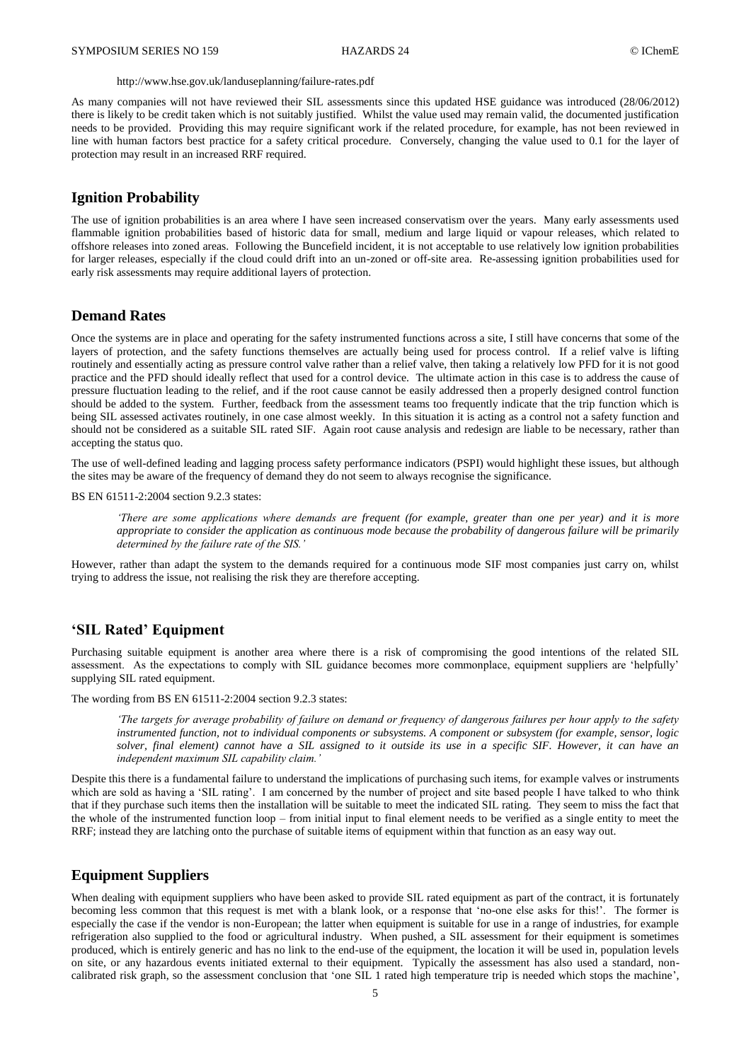#### <http://www.hse.gov.uk/landuseplanning/failure-rates.pdf>

As many companies will not have reviewed their SIL assessments since this updated HSE guidance was introduced (28/06/2012) there is likely to be credit taken which is not suitably justified. Whilst the value used may remain valid, the documented justification needs to be provided. Providing this may require significant work if the related procedure, for example, has not been reviewed in line with human factors best practice for a safety critical procedure. Conversely, changing the value used to 0.1 for the layer of protection may result in an increased RRF required.

#### **Ignition Probability**

The use of ignition probabilities is an area where I have seen increased conservatism over the years. Many early assessments used flammable ignition probabilities based of historic data for small, medium and large liquid or vapour releases, which related to offshore releases into zoned areas. Following the Buncefield incident, it is not acceptable to use relatively low ignition probabilities for larger releases, especially if the cloud could drift into an un-zoned or off-site area. Re-assessing ignition probabilities used for early risk assessments may require additional layers of protection.

# **Demand Rates**

Once the systems are in place and operating for the safety instrumented functions across a site, I still have concerns that some of the layers of protection, and the safety functions themselves are actually being used for process control. If a relief valve is lifting routinely and essentially acting as pressure control valve rather than a relief valve, then taking a relatively low PFD for it is not good practice and the PFD should ideally reflect that used for a control device. The ultimate action in this case is to address the cause of pressure fluctuation leading to the relief, and if the root cause cannot be easily addressed then a properly designed control function should be added to the system. Further, feedback from the assessment teams too frequently indicate that the trip function which is being SIL assessed activates routinely, in one case almost weekly. In this situation it is acting as a control not a safety function and should not be considered as a suitable SIL rated SIF. Again root cause analysis and redesign are liable to be necessary, rather than accepting the status quo.

The use of well-defined leading and lagging process safety performance indicators (PSPI) would highlight these issues, but although the sites may be aware of the frequency of demand they do not seem to always recognise the significance.

BS EN 61511-2:2004 section 9.2.3 states:

*'There are some applications where demands are frequent (for example, greater than one per year) and it is more appropriate to consider the application as continuous mode because the probability of dangerous failure will be primarily determined by the failure rate of the SIS.'*

However, rather than adapt the system to the demands required for a continuous mode SIF most companies just carry on, whilst trying to address the issue, not realising the risk they are therefore accepting.

## **'SIL Rated' Equipment**

Purchasing suitable equipment is another area where there is a risk of compromising the good intentions of the related SIL assessment. As the expectations to comply with SIL guidance becomes more commonplace, equipment suppliers are 'helpfully' supplying SIL rated equipment.

The wording from BS EN 61511-2:2004 section 9.2.3 states:

*'The targets for average probability of failure on demand or frequency of dangerous failures per hour apply to the safety instrumented function, not to individual components or subsystems. A component or subsystem (for example, sensor, logic*  solver, final element) cannot have a SIL assigned to it outside its use in a specific SIF. However, it can have an *independent maximum SIL capability claim.'*

Despite this there is a fundamental failure to understand the implications of purchasing such items, for example valves or instruments which are sold as having a 'SIL rating'. I am concerned by the number of project and site based people I have talked to who think that if they purchase such items then the installation will be suitable to meet the indicated SIL rating. They seem to miss the fact that the whole of the instrumented function loop – from initial input to final element needs to be verified as a single entity to meet the RRF; instead they are latching onto the purchase of suitable items of equipment within that function as an easy way out.

### **Equipment Suppliers**

When dealing with equipment suppliers who have been asked to provide SIL rated equipment as part of the contract, it is fortunately becoming less common that this request is met with a blank look, or a response that 'no-one else asks for this!'. The former is especially the case if the vendor is non-European; the latter when equipment is suitable for use in a range of industries, for example refrigeration also supplied to the food or agricultural industry. When pushed, a SIL assessment for their equipment is sometimes produced, which is entirely generic and has no link to the end-use of the equipment, the location it will be used in, population levels on site, or any hazardous events initiated external to their equipment. Typically the assessment has also used a standard, noncalibrated risk graph, so the assessment conclusion that 'one SIL 1 rated high temperature trip is needed which stops the machine',